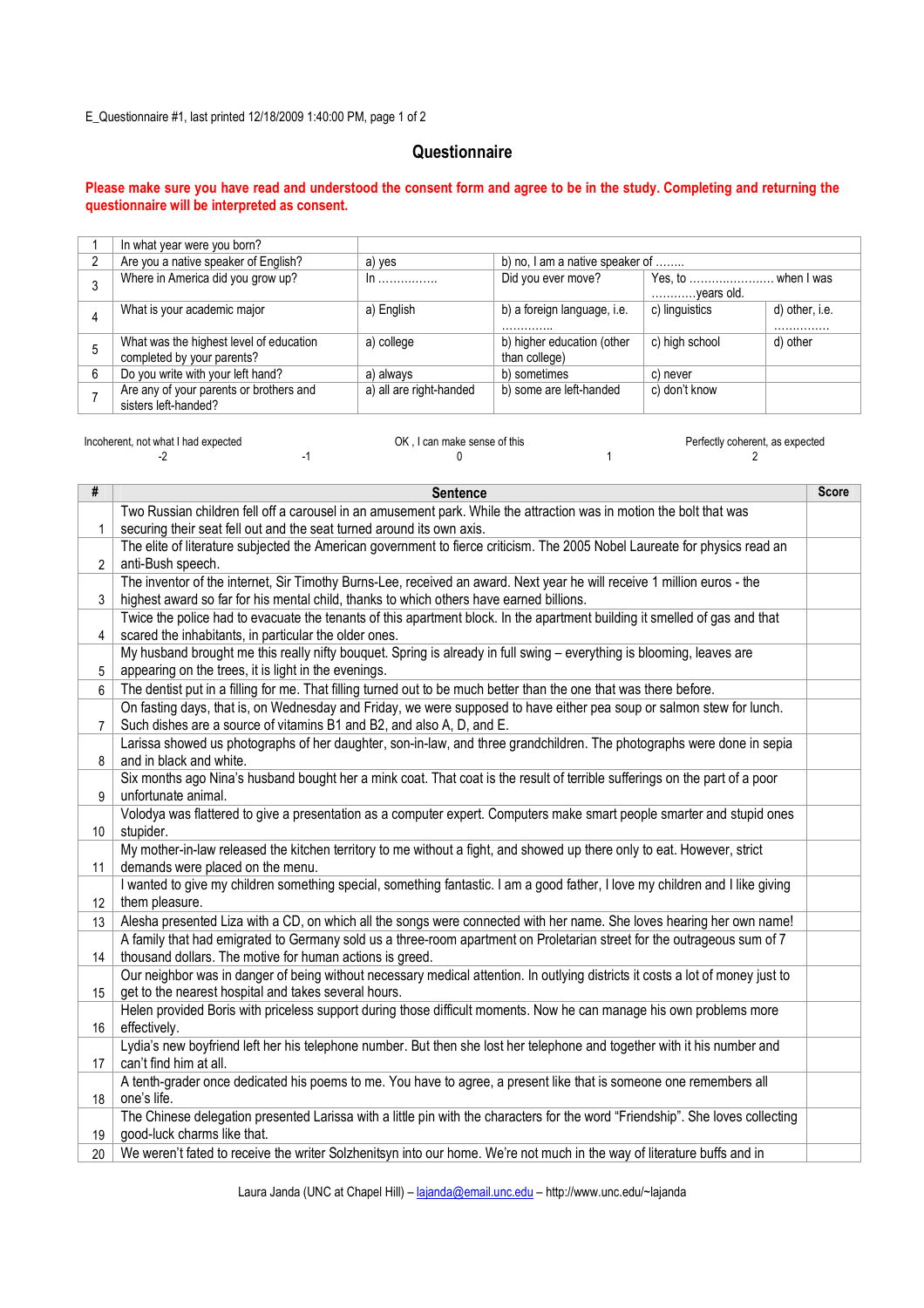E\_Questionnaire #1, last printed 12/18/2009 1:40:00 PM, page 1 of 2

## **Questionnaire**

## Please make sure you have read and understood the consent form and agree to be in the study. Completing and returning the questionnaire will be interpreted as consent.

|   | In what year were you born?                                           |                         |                                             |                                   |                    |
|---|-----------------------------------------------------------------------|-------------------------|---------------------------------------------|-----------------------------------|--------------------|
| 2 | Are you a native speaker of English?                                  | a) yes                  | b) no, I am a native speaker of             |                                   |                    |
|   | Where in America did you grow up?                                     | $\ln$                   | Did you ever move?                          | Yes, to  when I was<br>years old. |                    |
| 4 | What is your academic major                                           | a) English              | b) a foreign language, i.e.<br>.            | c) linguistics                    | d) other, i.e.<br> |
| 5 | What was the highest level of education<br>completed by your parents? | a) college              | b) higher education (other<br>than college) | c) high school                    | d) other           |
| 6 | Do you write with your left hand?                                     | a) always               | b) sometimes                                | c) never                          |                    |
|   | Are any of your parents or brothers and<br>sisters left-handed?       | a) all are right-handed | b) some are left-handed                     | c) don't know                     |                    |

| Incoherent, not what I had expected |  | OK . I can make sense of this |  |  |
|-------------------------------------|--|-------------------------------|--|--|
|                                     |  |                               |  |  |

| #               | <b>Sentence</b>                                                                                                                | <b>Score</b> |  |  |
|-----------------|--------------------------------------------------------------------------------------------------------------------------------|--------------|--|--|
|                 | Two Russian children fell off a carousel in an amusement park. While the attraction was in motion the bolt that was            |              |  |  |
| $\mathbf{1}$    | securing their seat fell out and the seat turned around its own axis.                                                          |              |  |  |
|                 | The elite of literature subjected the American government to fierce criticism. The 2005 Nobel Laureate for physics read an     |              |  |  |
| $\overline{2}$  | anti-Bush speech.                                                                                                              |              |  |  |
|                 | The inventor of the internet, Sir Timothy Burns-Lee, received an award. Next year he will receive 1 million euros - the        |              |  |  |
| 3               | highest award so far for his mental child, thanks to which others have earned billions.                                        |              |  |  |
|                 | Twice the police had to evacuate the tenants of this apartment block. In the apartment building it smelled of gas and that     |              |  |  |
| 4               | scared the inhabitants, in particular the older ones.                                                                          |              |  |  |
|                 | My husband brought me this really nifty bouquet. Spring is already in full swing - everything is blooming, leaves are          |              |  |  |
| 5               | appearing on the trees, it is light in the evenings.                                                                           |              |  |  |
| 6               | The dentist put in a filling for me. That filling turned out to be much better than the one that was there before.             |              |  |  |
|                 | On fasting days, that is, on Wednesday and Friday, we were supposed to have either pea soup or salmon stew for lunch.          |              |  |  |
| $\overline{7}$  | Such dishes are a source of vitamins B1 and B2, and also A, D, and E.                                                          |              |  |  |
|                 | Larissa showed us photographs of her daughter, son-in-law, and three grandchildren. The photographs were done in sepia         |              |  |  |
| 8               | and in black and white.                                                                                                        |              |  |  |
|                 | Six months ago Nina's husband bought her a mink coat. That coat is the result of terrible sufferings on the part of a poor     |              |  |  |
| 9               | unfortunate animal.                                                                                                            |              |  |  |
|                 | Volodya was flattered to give a presentation as a computer expert. Computers make smart people smarter and stupid ones         |              |  |  |
| 10 <sup>°</sup> | stupider.                                                                                                                      |              |  |  |
|                 | My mother-in-law released the kitchen territory to me without a fight, and showed up there only to eat. However, strict        |              |  |  |
| 11              | demands were placed on the menu.                                                                                               |              |  |  |
|                 | I wanted to give my children something special, something fantastic. I am a good father, I love my children and I like giving  |              |  |  |
| 12              | them pleasure.                                                                                                                 |              |  |  |
| 13              | Alesha presented Liza with a CD, on which all the songs were connected with her name. She loves hearing her own name!          |              |  |  |
|                 | A family that had emigrated to Germany sold us a three-room apartment on Proletarian street for the outrageous sum of 7        |              |  |  |
| 14              | thousand dollars. The motive for human actions is greed.                                                                       |              |  |  |
|                 | Our neighbor was in danger of being without necessary medical attention. In outlying districts it costs a lot of money just to |              |  |  |
| 15              | get to the nearest hospital and takes several hours.                                                                           |              |  |  |
|                 | Helen provided Boris with priceless support during those difficult moments. Now he can manage his own problems more            |              |  |  |
| 16              | effectively.                                                                                                                   |              |  |  |
|                 | Lydia's new boyfriend left her his telephone number. But then she lost her telephone and together with it his number and       |              |  |  |
| 17              | can't find him at all.                                                                                                         |              |  |  |
|                 | A tenth-grader once dedicated his poems to me. You have to agree, a present like that is someone one remembers all             |              |  |  |
| 18              | one's life.                                                                                                                    |              |  |  |
|                 | The Chinese delegation presented Larissa with a little pin with the characters for the word "Friendship". She loves collecting |              |  |  |
| 19              | good-luck charms like that.                                                                                                    |              |  |  |
| 20              | We weren't fated to receive the writer Solzhenitsyn into our home. We're not much in the way of literature buffs and in        |              |  |  |

Laura Janda (UNC at Chapel Hill) – lajanda@email.unc.edu – http://www.unc.edu/~lajanda